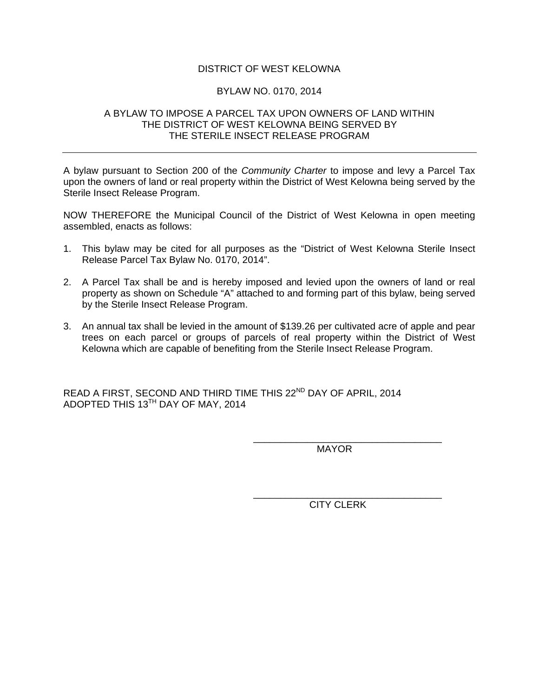## DISTRICT OF WEST KELOWNA

## BYLAW NO. 0170, 2014

## A BYLAW TO IMPOSE A PARCEL TAX UPON OWNERS OF LAND WITHIN THE DISTRICT OF WEST KELOWNA BEING SERVED BY THE STERILE INSECT RELEASE PROGRAM

A bylaw pursuant to Section 200 of the *Community Charter* to impose and levy a Parcel Tax upon the owners of land or real property within the District of West Kelowna being served by the Sterile Insect Release Program.

NOW THEREFORE the Municipal Council of the District of West Kelowna in open meeting assembled, enacts as follows:

- 1. This bylaw may be cited for all purposes as the "District of West Kelowna Sterile Insect Release Parcel Tax Bylaw No. 0170, 2014".
- 2. A Parcel Tax shall be and is hereby imposed and levied upon the owners of land or real property as shown on Schedule "A" attached to and forming part of this bylaw, being served by the Sterile Insect Release Program.
- 3. An annual tax shall be levied in the amount of \$139.26 per cultivated acre of apple and pear trees on each parcel or groups of parcels of real property within the District of West Kelowna which are capable of benefiting from the Sterile Insect Release Program.

READ A FIRST, SECOND AND THIRD TIME THIS 22<sup>ND</sup> DAY OF APRIL, 2014 ADOPTED THIS 13TH DAY OF MAY, 2014

 $\overline{\phantom{a}}$  , which is a set of the contract of the contract of the contract of the contract of the contract of the contract of the contract of the contract of the contract of the contract of the contract of the contract

 $\overline{\phantom{a}}$  , which is a set of the contract of the contract of the contract of the contract of the contract of the contract of the contract of the contract of the contract of the contract of the contract of the contract

**MAYOR** 

CITY CLERK